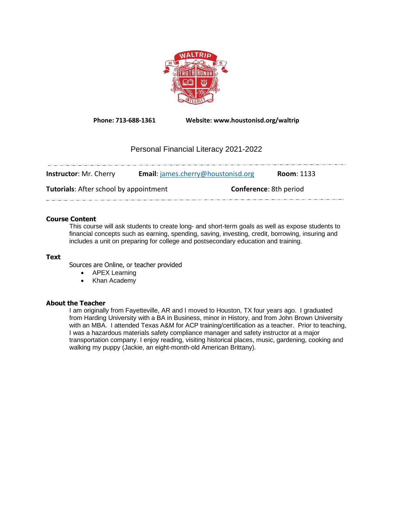

**Phone: 713-688-1361 Website: www.houstonisd.org/waltrip**

# Personal Financial Literacy 2021-2022

| <b>Instructor: Mr. Cherry</b>                 | <b>Email:</b> james.cherry@houstonisd.org | <b>Room: 1133</b>             |
|-----------------------------------------------|-------------------------------------------|-------------------------------|
| <b>Tutorials:</b> After school by appointment |                                           | <b>Conference: 8th period</b> |
|                                               |                                           |                               |

# **Course Content**

This course will ask students to create long- and short-term goals as well as expose students to financial concepts such as earning, spending, saving, investing, credit, borrowing, insuring and includes a unit on preparing for college and postsecondary education and training.

# **Text**

Sources are Online, or teacher provided

- APEX Learning
- Khan Academy

# **About the Teacher**

I am originally from Fayetteville, AR and I moved to Houston, TX four years ago. I graduated from Harding University with a BA in Business, minor in History, and from John Brown University with an MBA. I attended Texas A&M for ACP training/certification as a teacher. Prior to teaching, I was a hazardous materials safety compliance manager and safety instructor at a major transportation company. I enjoy reading, visiting historical places, music, gardening, cooking and walking my puppy (Jackie, an eight-month-old American Brittany).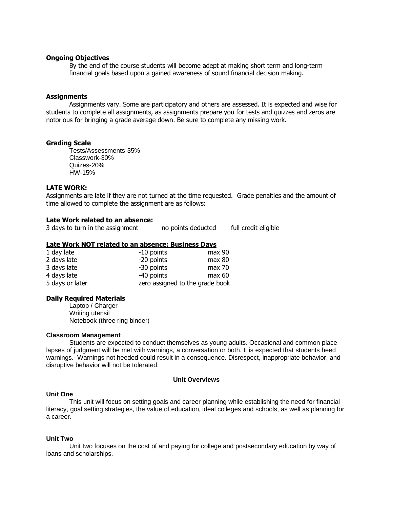### **Ongoing Objectives**

By the end of the course students will become adept at making short term and long-term financial goals based upon a gained awareness of sound financial decision making.

#### **Assignments**

Assignments vary. Some are participatory and others are assessed. It is expected and wise for students to complete all assignments, as assignments prepare you for tests and quizzes and zeros are notorious for bringing a grade average down. Be sure to complete any missing work.

### **Grading Scale**

Tests/Assessments-35% Classwork-30% Quizes-20% HW-15%

## **LATE WORK:**

Assignments are late if they are not turned at the time requested. Grade penalties and the amount of time allowed to complete the assignment are as follows:

### **Late Work related to an absence:**

3 days to turn in the assignment no points deducted full credit eligible

### **Late Work NOT related to an absence: Business Days**

| 1 day late      | -10 points                      | $max$ 90 |
|-----------------|---------------------------------|----------|
| 2 days late     | -20 points                      | max 80   |
| 3 days late     | -30 points                      | max 70   |
| 4 days late     | -40 points                      | max 60   |
| 5 days or later | zero assigned to the grade book |          |

### **Daily Required Materials**

Laptop / Charger Writing utensil Notebook (three ring binder)

### **Classroom Management**

Students are expected to conduct themselves as young adults. Occasional and common place lapses of judgment will be met with warnings, a conversation or both. It is expected that students heed warnings. Warnings not heeded could result in a consequence. Disrespect, inappropriate behavior, and disruptive behavior will not be tolerated.

# **Unit Overviews**

#### **Unit One**

This unit will focus on setting goals and career planning while establishing the need for financial literacy, goal setting strategies, the value of education, ideal colleges and schools, as well as planning for a career.

## **Unit Two**

Unit two focuses on the cost of and paying for college and postsecondary education by way of loans and scholarships.